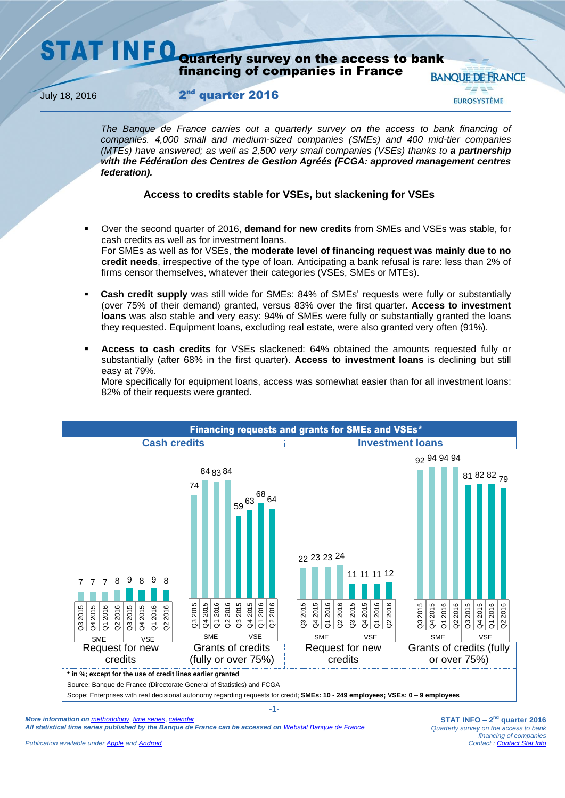### **STAT INFO** Quarterly survey on the access to bank financing of companies in France **BANOUE DE FRANCE**

**July 18, 2016** 

## 2<sup>nd</sup> quarter 2016

*The Banque de France carries out a quarterly survey on the access to bank financing of companies. 4,000 small and medium-sized companies (SMEs) and 400 mid-tier companies (MTEs) have answered; as well as 2,500 very small companies (VSEs) thanks to a partnership with the Fédération des Centres de Gestion Agréés (FCGA: approved management centres federation).*

# **Access to credits stable for VSEs, but slackening for VSEs**

- Over the second quarter of 2016, **demand for new credits** from SMEs and VSEs was stable, for cash credits as well as for investment loans. For SMEs as well as for VSEs, **the moderate level of financing request was mainly due to no credit needs**, irrespective of the type of loan. Anticipating a bank refusal is rare: less than 2% of firms censor themselves, whatever their categories (VSEs, SMEs or MTEs).
- **Cash credit supply** was still wide for SMEs: 84% of SMEs' requests were fully or substantially (over 75% of their demand) granted, versus 83% over the first quarter. **Access to investment loans** was also stable and very easy: 94% of SMEs were fully or substantially granted the loans they requested. Equipment loans, excluding real estate, were also granted very often (91%).
- **Access to cash credits** for VSEs slackened: 64% obtained the amounts requested fully or substantially (after 68% in the first quarter). **Access to investment loans** is declining but still easy at 79%.

More specifically for equipment loans, access was somewhat easier than for all investment loans: 82% of their requests were granted.



*More information on [methodology](https://www.banque-france.fr/en/economics-statistics/database/methodology/business-surveys-methodology.html)*, *[time series](http://webstat.banque-france.fr/en/browse.do?node=5384491)*, *[calendar](https://www.banque-france.fr/en/economics-statistics/calendar.html)  All statistical time series published by the Banque de France can be accessed on [Webstat Banque de France](http://webstat.banque-france.fr/en/)* **EUROSYSTÈME**